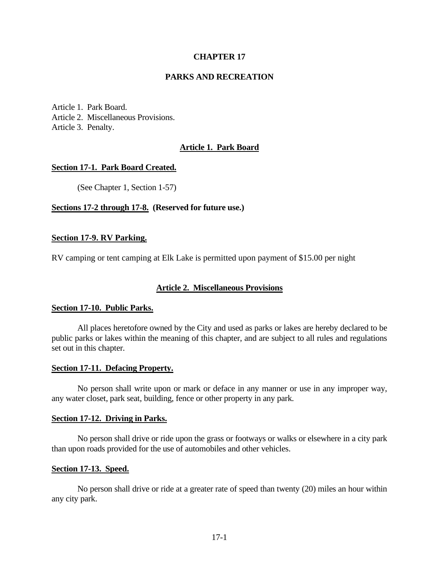# **CHAPTER 17**

### **PARKS AND RECREATION**

Article 1. Park Board. Article 2. Miscellaneous Provisions. Article 3. Penalty.

# **Article 1. Park Board**

#### **Section 17-1. Park Board Created.**

(See Chapter 1, Section 1-57)

#### **Sections 17-2 through 17-8. (Reserved for future use.)**

#### **Section 17-9. RV Parking.**

RV camping or tent camping at Elk Lake is permitted upon payment of \$15.00 per night

#### **Article 2. Miscellaneous Provisions**

### **Section 17-10. Public Parks.**

All places heretofore owned by the City and used as parks or lakes are hereby declared to be public parks or lakes within the meaning of this chapter, and are subject to all rules and regulations set out in this chapter.

#### **Section 17-11. Defacing Property.**

No person shall write upon or mark or deface in any manner or use in any improper way, any water closet, park seat, building, fence or other property in any park.

#### **Section 17-12. Driving in Parks.**

No person shall drive or ride upon the grass or footways or walks or elsewhere in a city park than upon roads provided for the use of automobiles and other vehicles.

#### **Section 17-13. Speed.**

No person shall drive or ride at a greater rate of speed than twenty (20) miles an hour within any city park.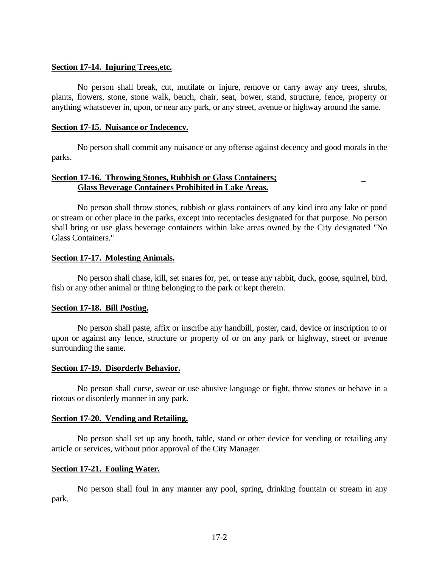### **Section 17-14. Injuring Trees,etc.**

No person shall break, cut, mutilate or injure, remove or carry away any trees, shrubs, plants, flowers, stone, stone walk, bench, chair, seat, bower, stand, structure, fence, property or anything whatsoever in, upon, or near any park, or any street, avenue or highway around the same.

#### **Section 17-15. Nuisance or Indecency.**

No person shall commit any nuisance or any offense against decency and good morals in the parks.

# **Section 17-16. Throwing Stones, Rubbish or Glass Containers; Glass Beverage Containers Prohibited in Lake Areas.**

No person shall throw stones, rubbish or glass containers of any kind into any lake or pond or stream or other place in the parks, except into receptacles designated for that purpose. No person shall bring or use glass beverage containers within lake areas owned by the City designated "No Glass Containers."

## **Section 17-17. Molesting Animals.**

No person shall chase, kill, set snares for, pet, or tease any rabbit, duck, goose, squirrel, bird, fish or any other animal or thing belonging to the park or kept therein.

#### **Section 17-18. Bill Posting.**

No person shall paste, affix or inscribe any handbill, poster, card, device or inscription to or upon or against any fence, structure or property of or on any park or highway, street or avenue surrounding the same.

#### **Section 17-19. Disorderly Behavior.**

No person shall curse, swear or use abusive language or fight, throw stones or behave in a riotous or disorderly manner in any park.

## **Section 17-20. Vending and Retailing.**

No person shall set up any booth, table, stand or other device for vending or retailing any article or services, without prior approval of the City Manager.

#### **Section 17-21. Fouling Water.**

No person shall foul in any manner any pool, spring, drinking fountain or stream in any park.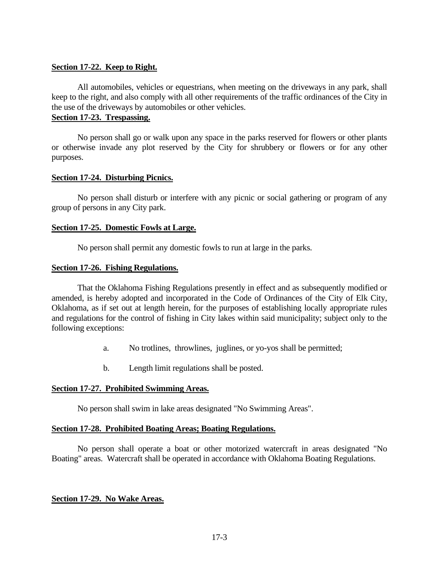# **Section 17-22. Keep to Right.**

All automobiles, vehicles or equestrians, when meeting on the driveways in any park, shall keep to the right, and also comply with all other requirements of the traffic ordinances of the City in the use of the driveways by automobiles or other vehicles.

# **Section 17-23. Trespassing.**

No person shall go or walk upon any space in the parks reserved for flowers or other plants or otherwise invade any plot reserved by the City for shrubbery or flowers or for any other purposes.

## **Section 17-24. Disturbing Picnics.**

No person shall disturb or interfere with any picnic or social gathering or program of any group of persons in any City park.

## **Section 17-25. Domestic Fowls at Large.**

No person shall permit any domestic fowls to run at large in the parks.

## **Section 17-26. Fishing Regulations.**

That the Oklahoma Fishing Regulations presently in effect and as subsequently modified or amended, is hereby adopted and incorporated in the Code of Ordinances of the City of Elk City, Oklahoma, as if set out at length herein, for the purposes of establishing locally appropriate rules and regulations for the control of fishing in City lakes within said municipality; subject only to the following exceptions:

- a. No trotlines, throwlines, juglines, or yo-yos shall be permitted;
- b. Length limit regulations shall be posted.

# **Section 17-27. Prohibited Swimming Areas.**

No person shall swim in lake areas designated "No Swimming Areas".

## **Section 17-28. Prohibited Boating Areas; Boating Regulations.**

No person shall operate a boat or other motorized watercraft in areas designated "No Boating" areas. Watercraft shall be operated in accordance with Oklahoma Boating Regulations.

## **Section 17-29. No Wake Areas.**